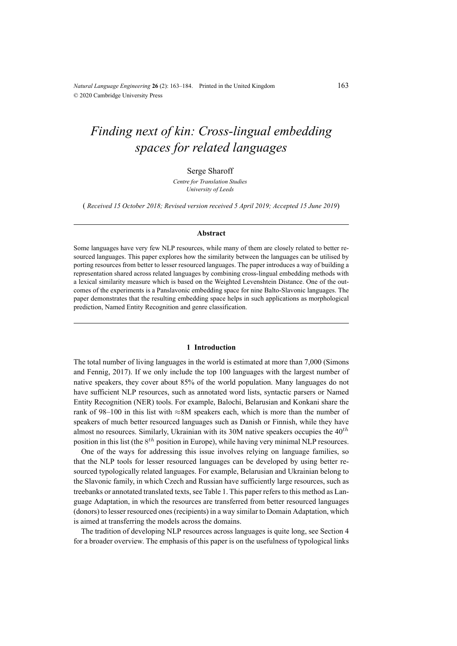*Natural Language Engineering* **26** (2): 163–184. Printed in the United Kingdom © 2020 Cambridge University Press

# *Finding next of kin: Cross-lingual embedding spaces for related languages*

# Serge Sharoff

*Centre for Translation Studies University of Leeds*

( *Received 15 October 2018; Revised version received 5 April 2019; Accepted 15 June 2019*)

## **Abstract**

Some languages have very few NLP resources, while many of them are closely related to better resourced languages. This paper explores how the similarity between the languages can be utilised by porting resources from better to lesser resourced languages. The paper introduces a way of building a representation shared across related languages by combining cross-lingual embedding methods with a lexical similarity measure which is based on the Weighted Levenshtein Distance. One of the outcomes of the experiments is a Panslavonic embedding space for nine Balto-Slavonic languages. The paper demonstrates that the resulting embedding space helps in such applications as morphological prediction, Named Entity Recognition and genre classification.

# **1 Introduction**

The total number of living languages in the world is estimated at more than 7,000 (Simons and Fennig, 2017). If we only include the top 100 languages with the largest number of native speakers, they cover about 85% of the world population. Many languages do not have sufficient NLP resources, such as annotated word lists, syntactic parsers or Named Entity Recognition (NER) tools. For example, Balochi, Belarusian and Konkani share the rank of 98–100 in this list with *≈*8M speakers each, which is more than the number of speakers of much better resourced languages such as Danish or Finnish, while they have almost no resources. Similarly, Ukrainian with its 30M native speakers occupies the 40*th* position in this list (the 8 *th* position in Europe), while having very minimal NLP resources.

One of the ways for addressing this issue involves relying on language families, so that the NLP tools for lesser resourced languages can be developed by using better resourced typologically related languages. For example, Belarusian and Ukrainian belong to the Slavonic family, in which Czech and Russian have sufficiently large resources, such as treebanks or annotated translated texts, see Table 1. This paper refers to this method as Language Adaptation, in which the resources are transferred from better resourced languages (donors) to lesser resourced ones (recipients) in a way similar to Domain Adaptation, which is aimed at transferring the models across the domains.

The tradition of developing NLP resources across languages is quite long, see Section 4 for a broader overview. The emphasis of this paper is on the usefulness of typological links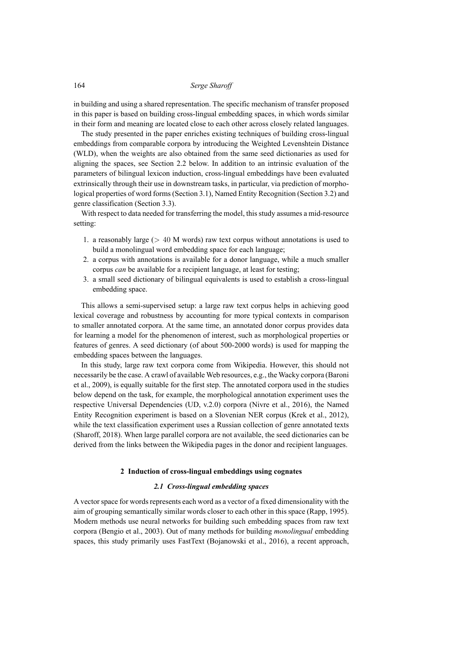in building and using a shared representation. The specific mechanism of transfer proposed in this paper is based on building cross-lingual embedding spaces, in which words similar in their form and meaning are located close to each other across closely related languages.

The study presented in the paper enriches existing techniques of building cross-lingual embeddings from comparable corpora by introducing the Weighted Levenshtein Distance (WLD), when the weights are also obtained from the same seed dictionaries as used for aligning the spaces, see Section 2.2 below. In addition to an intrinsic evaluation of the parameters of bilingual lexicon induction, cross-lingual embeddings have been evaluated extrinsically through their use in downstream tasks, in particular, via prediction of morphological properties of word forms (Section 3.1), Named Entity Recognition (Section 3.2) and genre classification (Section 3.3).

With respect to data needed for transferring the model, this study assumes a mid-resource setting:

- 1. a reasonably large (*>* 40 M words) raw text corpus without annotations is used to build a monolingual word embedding space for each language;
- 2. a corpus with annotations is available for a donor language, while a much smaller corpus *can* be available for a recipient language, at least for testing;
- 3. a small seed dictionary of bilingual equivalents is used to establish a cross-lingual embedding space.

This allows a semi-supervised setup: a large raw text corpus helps in achieving good lexical coverage and robustness by accounting for more typical contexts in comparison to smaller annotated corpora. At the same time, an annotated donor corpus provides data for learning a model for the phenomenon of interest, such as morphological properties or features of genres. A seed dictionary (of about 500-2000 words) is used for mapping the embedding spaces between the languages.

In this study, large raw text corpora come from Wikipedia. However, this should not necessarily be the case. A crawl of available Web resources, e.g., the Wacky corpora (Baroni et al., 2009), is equally suitable for the first step. The annotated corpora used in the studies below depend on the task, for example, the morphological annotation experiment uses the respective Universal Dependencies (UD, v.2.0) corpora (Nivre et al., 2016), the Named Entity Recognition experiment is based on a Slovenian NER corpus (Krek et al., 2012), while the text classification experiment uses a Russian collection of genre annotated texts (Sharoff, 2018). When large parallel corpora are not available, the seed dictionaries can be derived from the links between the Wikipedia pages in the donor and recipient languages.

## **2 Induction of cross-lingual embeddings using cognates**

## *2.1 Cross-lingual embedding spaces*

A vector space for words represents each word as a vector of a fixed dimensionality with the aim of grouping semantically similar words closer to each other in this space (Rapp, 1995). Modern methods use neural networks for building such embedding spaces from raw text corpora (Bengio et al., 2003). Out of many methods for building *monolingual* embedding spaces, this study primarily uses FastText (Bojanowski et al., 2016), a recent approach,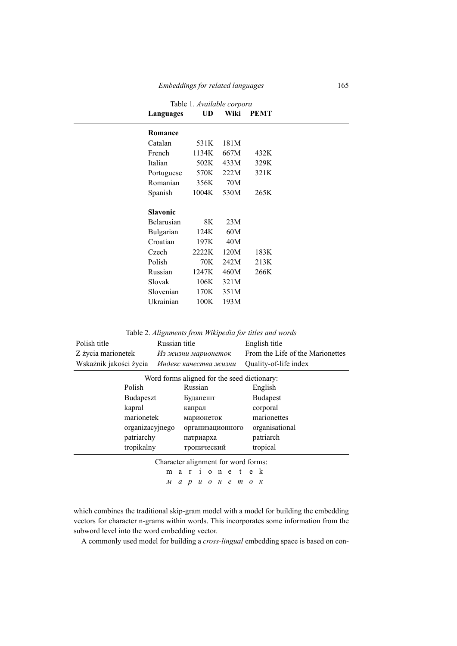|  | Table 1. Available corpora |      |       |                 |  |  |  |  |
|--|----------------------------|------|-------|-----------------|--|--|--|--|
|  | <b>PEMT</b>                | Wiki | UD.   | Languages       |  |  |  |  |
|  |                            |      |       | Romance         |  |  |  |  |
|  |                            | 181M | 531K  | Catalan         |  |  |  |  |
|  | 432K                       | 667M | 1134K | French          |  |  |  |  |
|  | 329K                       | 433M | 502K  | Italian         |  |  |  |  |
|  | 321K                       | 222M | 570K  | Portuguese      |  |  |  |  |
|  |                            | 70M  | 356K  | Romanian        |  |  |  |  |
|  | 265K                       | 530M | 1004K | Spanish         |  |  |  |  |
|  |                            |      |       |                 |  |  |  |  |
|  |                            |      |       | <b>Slavonic</b> |  |  |  |  |
|  |                            | 23M  | 8K    | Belarusian      |  |  |  |  |
|  |                            | 60M  | 124K  | Bulgarian       |  |  |  |  |
|  |                            | 40M  | 197K  | Croatian        |  |  |  |  |
|  | 183K                       | 120M | 2222K | Czech           |  |  |  |  |
|  | 213K                       | 242M | 70K   | Polish          |  |  |  |  |
|  | 266K                       | 460M | 1247K | Russian         |  |  |  |  |
|  |                            | 321M | 106K  | Slovak          |  |  |  |  |
|  |                            | 351M | 170K  | Slovenian       |  |  |  |  |
|  |                            |      |       |                 |  |  |  |  |

Table 2. *Alignments from Wikipedia for titles and words*

| Polish title<br>Z życia marionetek<br>Wskaźnik jakości życia |                 | Russian title<br>English title<br>Из жизни марионеток<br>Индекс качества жизни | From the Life of the Marionettes<br>Quality-of-life index |  |  |
|--------------------------------------------------------------|-----------------|--------------------------------------------------------------------------------|-----------------------------------------------------------|--|--|
|                                                              |                 | Word forms aligned for the seed dictionary:                                    |                                                           |  |  |
| Polish                                                       |                 | English<br>Russian                                                             |                                                           |  |  |
| <b>Budapeszt</b>                                             |                 | <b>Budapest</b><br>Будапешт                                                    |                                                           |  |  |
| kapral                                                       |                 | corporal<br>капрал                                                             |                                                           |  |  |
|                                                              | marionetek      | marionettes<br>марионеток                                                      |                                                           |  |  |
|                                                              | organizacyjnego | organisational<br>организационного                                             |                                                           |  |  |
| patriarchy                                                   |                 | patriarch<br>патриарха                                                         |                                                           |  |  |
| tropikalny                                                   |                 | tropical<br>тропический                                                        |                                                           |  |  |
|                                                              |                 | Character alignment for word forms:                                            |                                                           |  |  |
|                                                              |                 | mari<br>o n e t<br>e k                                                         |                                                           |  |  |
|                                                              | м               | арионет<br>$O$ K                                                               |                                                           |  |  |

which combines the traditional skip-gram model with a model for building the embedding vectors for character n-grams within words. This incorporates some information from the subword level into the word embedding vector.

A commonly used model for building a *cross-lingual* embedding space is based on con-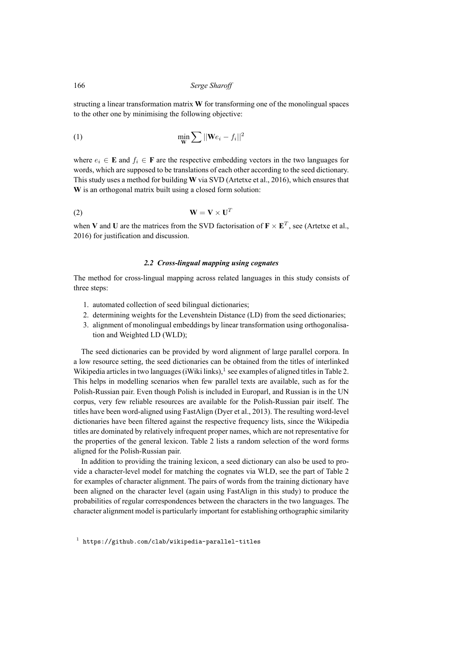structing a linear transformation matrix **W** for transforming one of the monolingual spaces to the other one by minimising the following objective:

$$
\min_{\mathbf{W}} \sum ||\mathbf{W}e_i - f_i||^2
$$

where  $e_i \in \mathbf{E}$  and  $f_i \in \mathbf{F}$  are the respective embedding vectors in the two languages for words, which are supposed to be translations of each other according to the seed dictionary. This study uses a method for building **W** via SVD (Artetxe et al., 2016), which ensures that **W** is an orthogonal matrix built using a closed form solution:

$$
\mathbf{W} = \mathbf{V} \times \mathbf{U}^T
$$

when **V** and **U** are the matrices from the SVD factorisation of  $\mathbf{F} \times \mathbf{E}^T$ , see (Artetxe et al., 2016) for justification and discussion.

## *2.2 Cross-lingual mapping using cognates*

The method for cross-lingual mapping across related languages in this study consists of three steps:

- 1. automated collection of seed bilingual dictionaries;
- 2. determining weights for the Levenshtein Distance (LD) from the seed dictionaries;
- 3. alignment of monolingual embeddings by linear transformation using orthogonalisation and Weighted LD (WLD);

The seed dictionaries can be provided by word alignment of large parallel corpora. In a low resource setting, the seed dictionaries can be obtained from the titles of interlinked Wikipedia articles in two languages (iWiki links), $<sup>1</sup>$  see examples of aligned titles in Table 2.</sup> This helps in modelling scenarios when few parallel texts are available, such as for the Polish-Russian pair. Even though Polish is included in Europarl, and Russian is in the UN corpus, very few reliable resources are available for the Polish-Russian pair itself. The titles have been word-aligned using FastAlign (Dyer et al., 2013). The resulting word-level dictionaries have been filtered against the respective frequency lists, since the Wikipedia titles are dominated by relatively infrequent proper names, which are not representative for the properties of the general lexicon. Table 2 lists a random selection of the word forms aligned for the Polish-Russian pair.

In addition to providing the training lexicon, a seed dictionary can also be used to provide a character-level model for matching the cognates via WLD, see the part of Table 2 for examples of character alignment. The pairs of words from the training dictionary have been aligned on the character level (again using FastAlign in this study) to produce the probabilities of regular correspondences between the characters in the two languages. The character alignment model is particularly important for establishing orthographic similarity

<sup>1</sup> https://github.com/clab/wikipedia-parallel-titles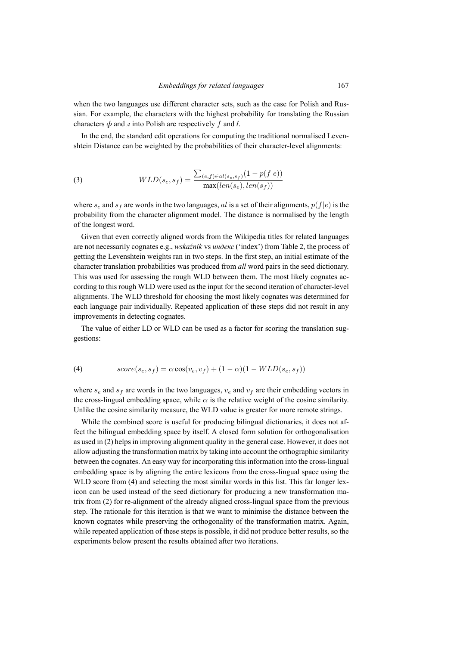when the two languages use different character sets, such as the case for Polish and Russian. For example, the characters with the highest probability for translating the Russian characters *ф* and *л* into Polish are respectively *f* and *ł*.

In the end, the standard edit operations for computing the traditional normalised Levenshtein Distance can be weighted by the probabilities of their character-level alignments:

(3) 
$$
WLD(s_e, s_f) = \frac{\sum_{(e,f) \in al(s_e, s_f)} (1 - p(f|e))}{\max(len(s_e), len(s_f))}
$$

where *s<sup>e</sup>* and *s<sup>f</sup>* are words in the two languages, *al* is a set of their alignments, *p*(*f|e*) is the probability from the character alignment model. The distance is normalised by the length of the longest word.

Given that even correctly aligned words from the Wikipedia titles for related languages are not necessarily cognates e.g., *wskaźnik* vs *индекс* ('index') from Table 2, the process of getting the Levenshtein weights ran in two steps. In the first step, an initial estimate of the character translation probabilities was produced from *all* word pairs in the seed dictionary. This was used for assessing the rough WLD between them. The most likely cognates according to this rough WLD were used as the input for the second iteration of character-level alignments. The WLD threshold for choosing the most likely cognates was determined for each language pair individually. Repeated application of these steps did not result in any improvements in detecting cognates.

The value of either LD or WLD can be used as a factor for scoring the translation suggestions:

(4) 
$$
score(s_e, s_f) = \alpha \cos(v_e, v_f) + (1 - \alpha)(1 - WLD(s_e, s_f))
$$

where  $s_e$  and  $s_f$  are words in the two languages,  $v_e$  and  $v_f$  are their embedding vectors in the cross-lingual embedding space, while  $\alpha$  is the relative weight of the cosine similarity. Unlike the cosine similarity measure, the WLD value is greater for more remote strings.

While the combined score is useful for producing bilingual dictionaries, it does not affect the bilingual embedding space by itself. A closed form solution for orthogonalisation as used in (2) helps in improving alignment quality in the general case. However, it does not allow adjusting the transformation matrix by taking into account the orthographic similarity between the cognates. An easy way for incorporating this information into the cross-lingual embedding space is by aligning the entire lexicons from the cross-lingual space using the WLD score from (4) and selecting the most similar words in this list. This far longer lexicon can be used instead of the seed dictionary for producing a new transformation matrix from (2) for re-alignment of the already aligned cross-lingual space from the previous step. The rationale for this iteration is that we want to minimise the distance between the known cognates while preserving the orthogonality of the transformation matrix. Again, while repeated application of these steps is possible, it did not produce better results, so the experiments below present the results obtained after two iterations.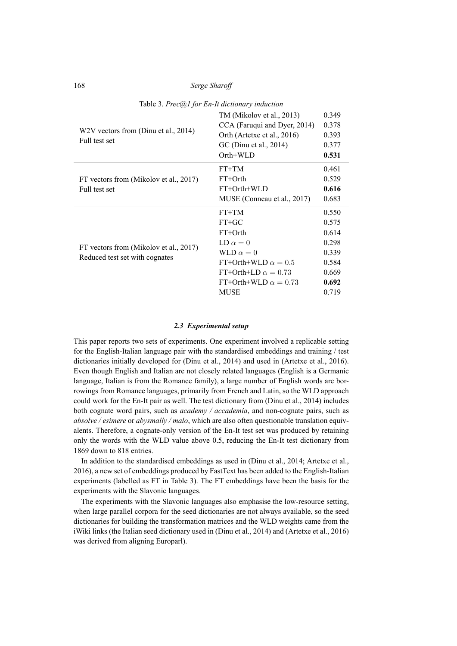|                                        | TM (Mikolov et al., 2013)    | 0.349 |
|----------------------------------------|------------------------------|-------|
|                                        | CCA (Faruqui and Dyer, 2014) | 0.378 |
| W2V vectors from (Dinu et al., 2014)   | Orth (Artetxe et al., 2016)  | 0.393 |
| Full test set                          | GC (Dinu et al., 2014)       | 0.377 |
|                                        | $Orth+WLD$                   | 0.531 |
|                                        | $FT+TM$                      | 0.461 |
| FT vectors from (Mikolov et al., 2017) | $FT+Orth$                    | 0.529 |
| Full test set                          | $FT+Orth+WLD$                | 0.616 |
|                                        | MUSE (Conneau et al., 2017)  | 0.683 |
|                                        |                              |       |
|                                        | $FT+TM$                      | 0.550 |
|                                        | $FT+GC$                      | 0.575 |
|                                        | $FT+Orth$                    | 0.614 |
|                                        | LD $\alpha = 0$              | 0.298 |
| FT vectors from (Mikolov et al., 2017) | WLD $\alpha = 0$             | 0.339 |
| Reduced test set with cognates         | FT+Orth+WLD $\alpha = 0.5$   | 0.584 |
|                                        | FT+Orth+LD $\alpha = 0.73$   | 0.669 |
|                                        | FT+Orth+WLD $\alpha = 0.73$  | 0.692 |

Table 3. *Prec@1 for En-It dictionary induction*

#### *2.3 Experimental setup*

This paper reports two sets of experiments. One experiment involved a replicable setting for the English-Italian language pair with the standardised embeddings and training / test dictionaries initially developed for (Dinu et al., 2014) and used in (Artetxe et al., 2016). Even though English and Italian are not closely related languages (English is a Germanic language, Italian is from the Romance family), a large number of English words are borrowings from Romance languages, primarily from French and Latin, so the WLD approach could work for the En-It pair as well. The test dictionary from (Dinu et al., 2014) includes both cognate word pairs, such as *academy / accademia*, and non-cognate pairs, such as *absolve / esimere* or *abysmally / malo*, which are also often questionable translation equivalents. Therefore, a cognate-only version of the En-It test set was produced by retaining only the words with the WLD value above 0.5, reducing the En-It test dictionary from 1869 down to 818 entries.

In addition to the standardised embeddings as used in (Dinu et al., 2014; Artetxe et al., 2016), a new set of embeddings produced by FastText has been added to the English-Italian experiments (labelled as FT in Table 3). The FT embeddings have been the basis for the experiments with the Slavonic languages.

The experiments with the Slavonic languages also emphasise the low-resource setting, when large parallel corpora for the seed dictionaries are not always available, so the seed dictionaries for building the transformation matrices and the WLD weights came from the iWiki links (the Italian seed dictionary used in (Dinu et al., 2014) and (Artetxe et al., 2016) was derived from aligning Europarl).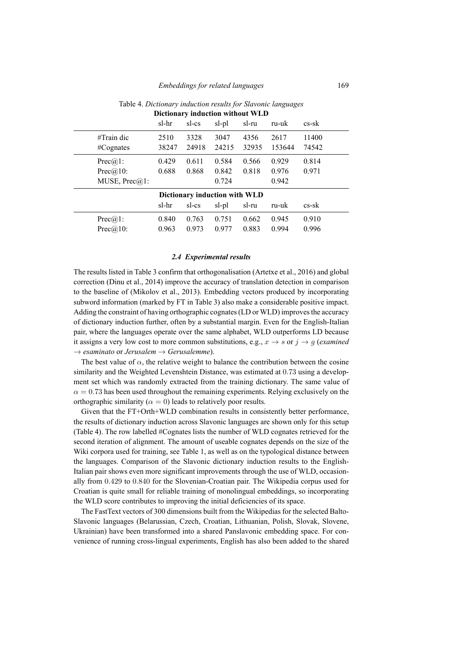|                                               |                |                | DICHONALY INQUELION WILHOUL WLD |                |                         |                |
|-----------------------------------------------|----------------|----------------|---------------------------------|----------------|-------------------------|----------------|
|                                               | sl-hr          | sl-cs          | sl-pl                           | sl-ru          | ru-uk                   | $cs$ -sk       |
| $\#$ Train dic<br>$\#C$ ognates               | 2510<br>38247  | 3328<br>24918  | 3047<br>24215                   | 4356<br>32935  | 2617<br>153644          | 11400<br>74542 |
| $Prec@1$ :<br>$Prec@10$ :<br>MUSE, $Prec@1$ : | 0.429<br>0.688 | 0.611<br>0.868 | 0.584<br>0.842<br>0.724         | 0.566<br>0.818 | 0.929<br>0.976<br>0.942 | 0.814<br>0.971 |
|                                               |                |                | Dictionary induction with WLD   |                |                         |                |
|                                               | sl-hr          | sl-cs          | sl-pl                           | sl-ru          | ru-uk                   | $cs$ -sk       |
| $Prec@1$ :                                    | 0.840          | 0.763          | 0.751                           | 0.662          | 0.945                   | 0.910          |
| $Prec@10$ :                                   | 0.963          | 0.973          | 0.977                           | 0.883          | 0.994                   | 0.996          |

Table 4. *Dictionary induction results for Slavonic languages* **Dictionary induction without WLD**

## *2.4 Experimental results*

The results listed in Table 3 confirm that orthogonalisation (Artetxe et al., 2016) and global correction (Dinu et al., 2014) improve the accuracy of translation detection in comparison to the baseline of (Mikolov et al., 2013). Embedding vectors produced by incorporating subword information (marked by FT in Table 3) also make a considerable positive impact. Adding the constraint of having orthographic cognates (LD or WLD) improves the accuracy of dictionary induction further, often by a substantial margin. Even for the English-Italian pair, where the languages operate over the same alphabet, WLD outperforms LD because it assigns a very low cost to more common substitutions, e.g.,  $x \to s$  or  $j \to q$  (*examined → esaminato* or *Jerusalem → Gerusalemme*).

The best value of  $\alpha$ , the relative weight to balance the contribution between the cosine similarity and the Weighted Levenshtein Distance, was estimated at 0*.*73 using a development set which was randomly extracted from the training dictionary. The same value of  $\alpha = 0.73$  has been used throughout the remaining experiments. Relying exclusively on the orthographic similarity ( $\alpha = 0$ ) leads to relatively poor results.

Given that the FT+Orth+WLD combination results in consistently better performance, the results of dictionary induction across Slavonic languages are shown only for this setup (Table 4). The row labelled #Cognates lists the number of WLD cognates retrieved for the second iteration of alignment. The amount of useable cognates depends on the size of the Wiki corpora used for training, see Table 1, as well as on the typological distance between the languages. Comparison of the Slavonic dictionary induction results to the English-Italian pair shows even more significant improvements through the use of WLD, occasionally from 0*.*429 to 0*.*840 for the Slovenian-Croatian pair. The Wikipedia corpus used for Croatian is quite small for reliable training of monolingual embeddings, so incorporating the WLD score contributes to improving the initial deficiencies of its space.

The FastText vectors of 300 dimensions built from the Wikipedias for the selected Balto-Slavonic languages (Belarussian, Czech, Croatian, Lithuanian, Polish, Slovak, Slovene, Ukrainian) have been transformed into a shared Panslavonic embedding space. For convenience of running cross-lingual experiments, English has also been added to the shared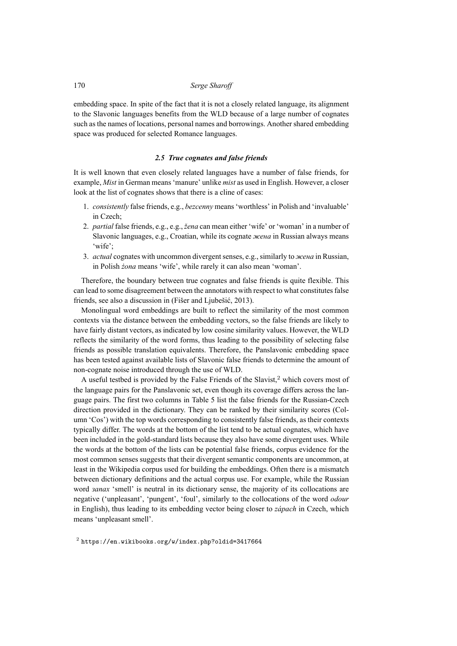embedding space. In spite of the fact that it is not a closely related language, its alignment to the Slavonic languages benefits from the WLD because of a large number of cognates such as the names of locations, personal names and borrowings. Another shared embedding space was produced for selected Romance languages.

## *2.5 True cognates and false friends*

It is well known that even closely related languages have a number of false friends, for example, *Mist* in German means 'manure' unlike *mist* as used in English. However, a closer look at the list of cognates shows that there is a cline of cases:

- 1. *consistently* false friends, e.g., *bezcenny* means 'worthless' in Polish and 'invaluable' in Czech;
- 2. *partial* false friends, e.g., e.g.,*žena* can mean either 'wife' or 'woman' in a number of Slavonic languages, e.g., Croatian, while its cognate *жена* in Russian always means 'wife';
- 3. *actual* cognates with uncommon divergent senses, e.g., similarly to *жена* in Russian, in Polish *żona* means 'wife', while rarely it can also mean 'woman'.

Therefore, the boundary between true cognates and false friends is quite flexible. This can lead to some disagreement between the annotators with respect to what constitutes false friends, see also a discussion in (Fišer and Ljubešić, 2013).

Monolingual word embeddings are built to reflect the similarity of the most common contexts via the distance between the embedding vectors, so the false friends are likely to have fairly distant vectors, as indicated by low cosine similarity values. However, the WLD reflects the similarity of the word forms, thus leading to the possibility of selecting false friends as possible translation equivalents. Therefore, the Panslavonic embedding space has been tested against available lists of Slavonic false friends to determine the amount of non-cognate noise introduced through the use of WLD.

A useful testbed is provided by the False Friends of the Slavist, $<sup>2</sup>$  which covers most of</sup> the language pairs for the Panslavonic set, even though its coverage differs across the language pairs. The first two columns in Table 5 list the false friends for the Russian-Czech direction provided in the dictionary. They can be ranked by their similarity scores (Column 'Cos') with the top words corresponding to consistently false friends, as their contexts typically differ. The words at the bottom of the list tend to be actual cognates, which have been included in the gold-standard lists because they also have some divergent uses. While the words at the bottom of the lists can be potential false friends, corpus evidence for the most common senses suggests that their divergent semantic components are uncommon, at least in the Wikipedia corpus used for building the embeddings. Often there is a mismatch between dictionary definitions and the actual corpus use. For example, while the Russian word *sanax* 'smell' is neutral in its dictionary sense, the majority of its collocations are negative ('unpleasant', 'pungent', 'foul', similarly to the collocations of the word *odour* in English), thus leading to its embedding vector being closer to *zápach* in Czech, which means 'unpleasant smell'.

 $^2$  https://en.wikibooks.org/w/index.php?oldid=3417664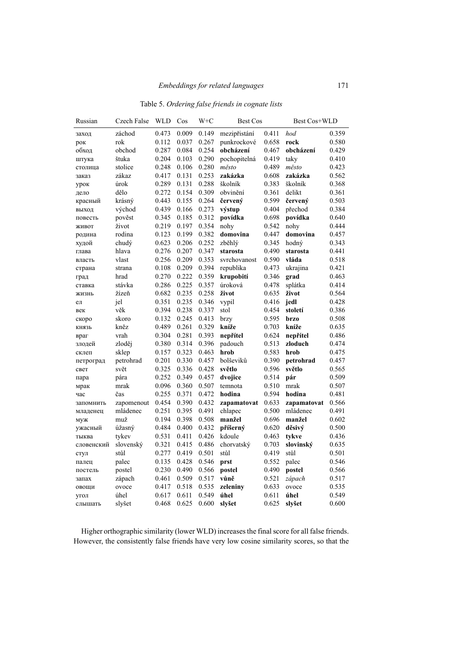Table 5. *Ordering false friends in cognate lists*

| Russian      | Czech False | <b>WLD</b> | Cos   | $W + C$ | <b>Best Cos</b> |       | Best Cos+WLD |       |
|--------------|-------------|------------|-------|---------|-----------------|-------|--------------|-------|
| заход        | záchod      | 0.473      | 0.009 | 0.149   | mezipřistání    | 0.411 | hod          | 0.359 |
| рок          | rok         | 0.112      | 0.037 | 0.267   | punkrockové     | 0.658 | rock         | 0.580 |
| обход        | obchod      | 0.287      | 0.084 | 0.254   | obcházení       | 0.467 | obcházení    | 0.429 |
| штука        | štuka       | 0.204      | 0.103 | 0.290   | pochopitelná    | 0.419 | taky         | 0.410 |
| столица      | stolice     | 0.248      | 0.106 | 0.280   | město           | 0.489 | město        | 0.423 |
| заказ        | zákaz       | 0.417      | 0.131 | 0.253   | zakázka         | 0.608 | zakázka      | 0.562 |
| урок         | úrok        | 0.289      | 0.131 | 0.288   | školník         | 0.383 | školník      | 0.368 |
| дело         | dělo        | 0.272      | 0.154 | 0.309   | obvinění        | 0.361 | delikt       | 0.361 |
| красный      | krásný      | 0.443      | 0.155 | 0.264   | červený         | 0.599 | červený      | 0.503 |
| ВЫХОД        | východ      | 0.439      | 0.166 | 0.273   | výstup          | 0.404 | přechod      | 0.384 |
| повесть      | pověst      | 0.345      | 0.185 | 0.312   | povídka         | 0.698 | povídka      | 0.640 |
| живот        | život       | 0.219      | 0.197 | 0.354   | nohy            | 0.542 | nohy         | 0.444 |
| родина       | rodina      | 0.123      | 0.199 | 0.382   | domovina        | 0.447 | domovina     | 0.457 |
| худой        | chudý       | 0.623      | 0.206 | 0.252   | zběhlý          | 0.345 | hodný        | 0.343 |
| глава        | hlava       | 0.276      | 0.207 | 0.347   | starosta        | 0.490 | starosta     | 0.441 |
| власть       | vlast       | 0.256      | 0.209 | 0.353   | svrchovanost    | 0.590 | vláda        | 0.518 |
| страна       | strana      | 0.108      | 0.209 | 0.394   | republika       | 0.473 | ukrajina     | 0.421 |
| град         | hrad        | 0.270      | 0.222 | 0.359   | krupobití       | 0.346 | grad         | 0.463 |
| ставка       | stávka      | 0.286      | 0.225 | 0.357   | úroková         | 0.478 | splátka      | 0.414 |
| жизнь        | žízeň       | 0.682      | 0.235 | 0.258   | život           | 0.635 | život        | 0.564 |
| $e$ л        | jel         | 0.351      | 0.235 | 0.346   | vypil           | 0.416 | jedl         | 0.428 |
| век          | věk         | 0.394      | 0.238 | 0.337   | stol            | 0.454 | století      | 0.386 |
| скоро        | skoro       | 0.132      | 0.245 | 0.413   | brzy            | 0.595 | brzo         | 0.508 |
| <b>КНЯЗЬ</b> | kněz        | 0.489      | 0.261 | 0.329   | kníže           | 0.703 | kníže        | 0.635 |
| враг         | vrah        | 0.304      | 0.281 | 0.393   | nepřítel        | 0.624 | nepřítel     | 0.486 |
| злодей       | zloděj      | 0.380      | 0.314 | 0.396   | padouch         | 0.513 | zloduch      | 0.474 |
| склеп        | sklep       | 0.157      | 0.323 | 0.463   | hrob            | 0.583 | hrob         | 0.475 |
| петроград    | petrohrad   | 0.201      | 0.330 | 0.457   | bolševiků       | 0.390 | petrohrad    | 0.457 |
| свет         | svět        | 0.325      | 0.336 | 0.428   | světlo          | 0.596 | světlo       | 0.565 |
| пара         | pára        | 0.252      | 0.349 | 0.457   | dvojice         | 0.514 | pár          | 0.509 |
| мрак         | mrak        | 0.096      | 0.360 | 0.507   | temnota         | 0.510 | mrak         | 0.507 |
| час          | čas         | 0.255      | 0.371 | 0.472   | hodina          | 0.594 | hodina       | 0.481 |
| запомнить    | zapomenout  | 0.454      | 0.390 | 0.432   | zapamatovat     | 0.633 | zapamatovat  | 0.566 |
| младенец     | mládenec    | 0.251      | 0.395 | 0.491   | chlapec         | 0.500 | mládenec     | 0.491 |
| муж          | muž         | 0.194      | 0.398 | 0.508   | manžel          | 0.696 | manžel       | 0.602 |
| ужасный      | úžasný      | 0.484      | 0.400 | 0.432   | příšerný        | 0.620 | děsivý       | 0.500 |
| тыква        | tykev       | 0.531      | 0.411 | 0.426   | kdoule          | 0.463 | tykve        | 0.436 |
| словенский   | slovenský   | 0.321      | 0.415 | 0.486   | chorvatský      | 0.703 | slovinský    | 0.635 |
| стул         | stůl        | 0.277      | 0.419 | 0.501   | stůl            | 0.419 | stůl         | 0.501 |
| палец        | palec       | 0.135      | 0.428 | 0.546   | prst            | 0.552 | palec        | 0.546 |
| постель      | postel      | 0.230      | 0.490 | 0.566   | postel          | 0.490 | postel       | 0.566 |
| запах        | zápach      | 0.461      | 0.509 | 0.517   | vůně            | 0.521 | zápach       | 0.517 |
| овощи        | ovoce       | 0.417      | 0.518 | 0.535   | zeleniny        | 0.633 | ovoce        | 0.535 |
| угол         | úhel        | 0.617      | 0.611 | 0.549   | úhel            | 0.611 | úhel         | 0.549 |
| слышать      | slyšet      | 0.468      | 0.625 | 0.600   | slyšet          | 0.625 | slyšet       | 0.600 |

Higher orthographic similarity (lower WLD) increases the final score for all false friends. However, the consistently false friends have very low cosine similarity scores, so that the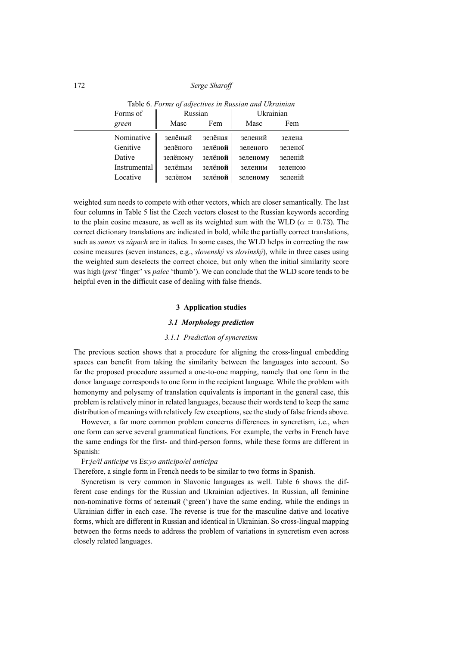| Forms of |              | Russian  |         | Ukrainian |         |  |
|----------|--------------|----------|---------|-----------|---------|--|
| green    |              | Masc     | Fem     | Masc      | Fem     |  |
|          | Nominative   | зелёный  | зелёная | зелений   | зелена  |  |
| Genitive |              | зелёного | зелёной | зеленого  | зеленої |  |
| Dative   |              | зелёному | зелёной | зеленому  | зеленій |  |
|          | Instrumental | зелёным  | зелёной | зеленим   | зеленою |  |
| Locative |              | зелёном  | зелёной | зеленому  | зеленій |  |
|          |              |          |         |           |         |  |

Table 6. *Forms of adjectives in Russian and Ukrainian*

weighted sum needs to compete with other vectors, which are closer semantically. The last four columns in Table 5 list the Czech vectors closest to the Russian keywords according to the plain cosine measure, as well as its weighted sum with the WLD ( $\alpha = 0.73$ ). The correct dictionary translations are indicated in bold, while the partially correct translations, such as *запах* vs *zápach* are in italics. In some cases, the WLD helps in correcting the raw cosine measures (seven instances, e.g., *slovenský* vs *slovinský*), while in three cases using the weighted sum deselects the correct choice, but only when the initial similarity score was high (*prst* 'finger' vs *palec* 'thumb'). We can conclude that the WLD score tends to be helpful even in the difficult case of dealing with false friends.

## **3 Application studies**

## *3.1 Morphology prediction*

## *3.1.1 Prediction of syncretism*

The previous section shows that a procedure for aligning the cross-lingual embedding spaces can benefit from taking the similarity between the languages into account. So far the proposed procedure assumed a one-to-one mapping, namely that one form in the donor language corresponds to one form in the recipient language. While the problem with homonymy and polysemy of translation equivalents is important in the general case, this problem is relatively minor in related languages, because their words tend to keep the same distribution of meanings with relatively few exceptions, see the study of false friends above.

However, a far more common problem concerns differences in syncretism, i.e., when one form can serve several grammatical functions. For example, the verbs in French have the same endings for the first- and third-person forms, while these forms are different in Spanish:

# Fr:*je/il anticipe* vs Es:*yo anticipo/el anticipa*

Therefore, a single form in French needs to be similar to two forms in Spanish.

Syncretism is very common in Slavonic languages as well. Table 6 shows the different case endings for the Russian and Ukrainian adjectives. In Russian, all feminine non-nominative forms of зеленый ('green') have the same ending, while the endings in Ukrainian differ in each case. The reverse is true for the masculine dative and locative forms, which are different in Russian and identical in Ukrainian. So cross-lingual mapping between the forms needs to address the problem of variations in syncretism even across closely related languages.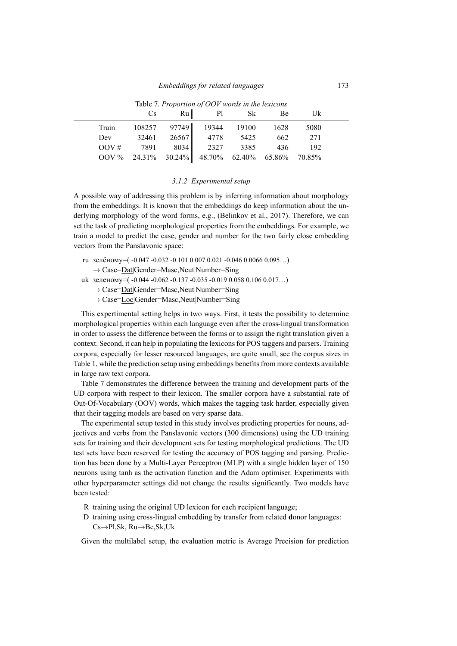|       | Cs                                                                                                 | $Ru \parallel$ Pl Sk                                | Be  | Uk   |  |
|-------|----------------------------------------------------------------------------------------------------|-----------------------------------------------------|-----|------|--|
| Train | $\begin{array}{ c c c c c c c c } \hline 108257 & 97749 & 19344 & 19100 & 1628 \hline \end{array}$ |                                                     |     | 5080 |  |
| Dev   |                                                                                                    | $32461 \quad 26567 \parallel \quad 4778 \quad 5425$ | 662 | 271  |  |
|       | $\overline{OOV}$ # 7891 8034 2327 3385 436                                                         |                                                     |     | 192  |  |
|       | OOV % 24.31% 30.24% 48.70% 62.40% 65.86% 70.85%                                                    |                                                     |     |      |  |

Table 7. *Proportion of OOV words in the lexicons*

# *3.1.2 Experimental setup*

A possible way of addressing this problem is by inferring information about morphology from the embeddings. It is known that the embeddings do keep information about the underlying morphology of the word forms, e.g., (Belinkov et al., 2017). Therefore, we can set the task of predicting morphological properties from the embeddings. For example, we train a model to predict the case, gender and number for the two fairly close embedding vectors from the Panslavonic space:

- ru зелёному=( -0.047 -0.032 -0.101 0.007 0.021 -0.046 0.0066 0.095…)
	- *→* Case=Dat|Gender=Masc,Neut|Number=Sing
- uk зеленому=( -0.044 -0.062 -0.137 -0.035 -0.019 0.058 0.106 0.017…)
	- *→* Case=Dat|Gender=Masc,Neut|Number=Sing
	- *→* Case=Loc|Gender=Masc,Neut|Number=Sing

This expertimental setting helps in two ways. First, it tests the possibility to determine morphological properties within each language even after the cross-lingual transformation in order to assess the difference between the forms or to assign the right translation given a context. Second, it can help in populating the lexicons for POS taggers and parsers. Training corpora, especially for lesser resourced languages, are quite small, see the corpus sizes in Table 1, while the prediction setup using embeddings benefits from more contexts available in large raw text corpora.

Table 7 demonstrates the difference between the training and development parts of the UD corpora with respect to their lexicon. The smaller corpora have a substantial rate of Out-Of-Vocabulary (OOV) words, which makes the tagging task harder, especially given that their tagging models are based on very sparse data.

The experimental setup tested in this study involves predicting properties for nouns, adjectives and verbs from the Panslavonic vectors (300 dimensions) using the UD training sets for training and their development sets for testing morphological predictions. The UD test sets have been reserved for testing the accuracy of POS tagging and parsing. Prediction has been done by a Multi-Layer Perceptron (MLP) with a single hidden layer of 150 neurons using tanh as the activation function and the Adam optimiser. Experiments with other hyperparameter settings did not change the results significantly. Two models have been tested:

- R training using the original UD lexicon for each **r**ecipient language;
- D training using cross-lingual embedding by transfer from related **d**onor languages: Cs*→*Pl,Sk, Ru*→*Be,Sk,Uk

Given the multilabel setup, the evaluation metric is Average Precision for prediction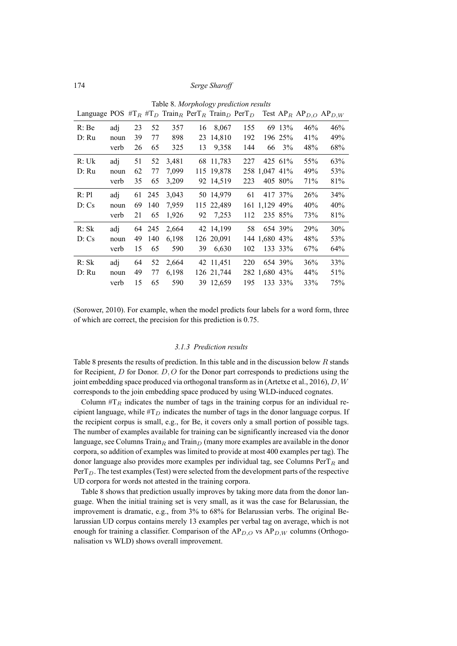| Language POS #T <sub>R</sub> #T <sub>D</sub> Train <sub>R</sub> PerT <sub>R</sub> Train <sub>D</sub> PerT <sub>D</sub> |      |    |        |       |    |            |     |               |         |     | Test AP <sub>R</sub> AP <sub>D,O</sub> AP <sub>D,W</sub> |
|------------------------------------------------------------------------------------------------------------------------|------|----|--------|-------|----|------------|-----|---------------|---------|-----|----------------------------------------------------------|
| R: Be                                                                                                                  | adj  | 23 | 52     | 357   | 16 | 8,067      | 155 |               | 69 13%  | 46% | 46%                                                      |
| D: Ru                                                                                                                  | noun | 39 | 77     | 898   | 23 | 14,810     | 192 |               | 196 25% | 41% | 49%                                                      |
|                                                                                                                        | verb | 26 | 65     | 325   | 13 | 9,358      | 144 | 66            | 3%      | 48% | 68%                                                      |
| R: Uk                                                                                                                  | adj  | 51 | 52     | 3,481 |    | 68 11,783  | 227 |               | 425 61% | 55% | 63%                                                      |
| D: Ru                                                                                                                  | noun | 62 | 77     | 7,099 |    | 115 19,878 |     | 258 1,047 41% |         | 49% | 53%                                                      |
|                                                                                                                        | verb | 35 | 65     | 3,209 |    | 92 14,519  | 223 |               | 405 80% | 71% | 81%                                                      |
| R: Pl                                                                                                                  | adj  | 61 | 245    | 3,043 |    | 50 14,979  | 61  |               | 417 37% | 26% | 34%                                                      |
| D:Cs                                                                                                                   | noun | 69 | 140    | 7,959 |    | 115 22,489 |     | 161 1,129 49% |         | 40% | 40%                                                      |
|                                                                                                                        | verb | 21 | 65     | 1,926 | 92 | 7,253      | 112 |               | 235 85% | 73% | 81%                                                      |
| R: Sk                                                                                                                  | adj  |    | 64 245 | 2,664 |    | 42 14,199  | 58  |               | 654 39% | 29% | 30%                                                      |
| D:Cs                                                                                                                   | noun | 49 | 140    | 6,198 |    | 126 20,091 |     | 144 1,680 43% |         | 48% | 53%                                                      |
|                                                                                                                        | verb | 15 | 65     | 590   | 39 | 6,630      | 102 |               | 133 33% | 67% | 64%                                                      |
| R: Sk                                                                                                                  | adj  | 64 | 52     | 2,664 |    | 42 11,451  | 220 |               | 654 39% | 36% | 33%                                                      |
| D: Ru                                                                                                                  | noun | 49 | 77     | 6,198 |    | 126 21,744 |     | 282 1,680 43% |         | 44% | 51%                                                      |
|                                                                                                                        | verb | 15 | 65     | 590   |    | 39 12,659  | 195 |               | 133 33% | 33% | 75%                                                      |
|                                                                                                                        |      |    |        |       |    |            |     |               |         |     |                                                          |

Table 8. *Morphology prediction results*

(Sorower, 2010). For example, when the model predicts four labels for a word form, three of which are correct, the precision for this prediction is 0.75.

## *3.1.3 Prediction results*

Table 8 presents the results of prediction. In this table and in the discussion below *R* stands for Recipient, *D* for Donor. *D, O* for the Donor part corresponds to predictions using the joint embedding space produced via orthogonal transform as in (Artetxe et al., 2016), *D, W* corresponds to the join embedding space produced by using WLD-induced cognates.

Column  $\#T_R$  indicates the number of tags in the training corpus for an individual recipient language, while #T*<sup>D</sup>* indicates the number of tags in the donor language corpus. If the recipient corpus is small, e.g., for Be, it covers only a small portion of possible tags. The number of examples available for training can be significantly increased via the donor language, see Columns Train<sub>*R*</sub> and Train<sub>*D*</sub> (many more examples are available in the donor corpora, so addition of examples was limited to provide at most 400 examples per tag). The donor language also provides more examples per individual tag, see Columns PerT*<sup>R</sup>* and PerT*D*. The test examples (Test) were selected from the development parts of the respective UD corpora for words not attested in the training corpora.

Table 8 shows that prediction usually improves by taking more data from the donor language. When the initial training set is very small, as it was the case for Belarussian, the improvement is dramatic, e.g., from 3% to 68% for Belarussian verbs. The original Belarussian UD corpus contains merely 13 examples per verbal tag on average, which is not enough for training a classifier. Comparison of the AP<sub>D,O</sub> vs AP<sub>D,W</sub> columns (Orthogonalisation vs WLD) shows overall improvement.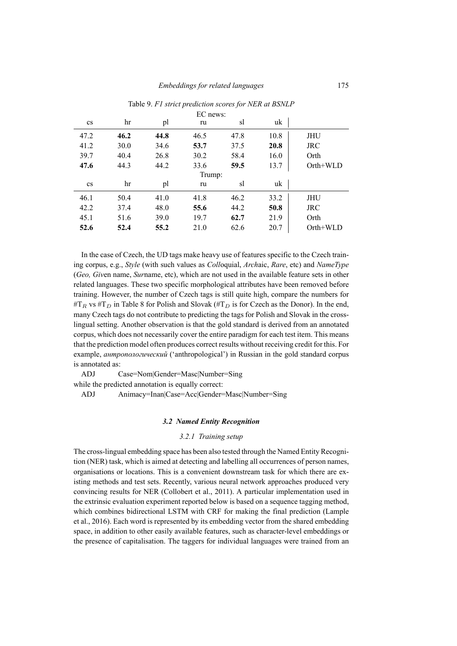| $\mathbf{c}\mathbf{s}$ | hr   | pl   | LU HUWS.<br>ru | sl   | uk   |            |
|------------------------|------|------|----------------|------|------|------------|
| 47.2                   | 46.2 | 44.8 | 46.5           | 47.8 | 10.8 | JHU        |
| 41.2                   | 30.0 | 34.6 | 53.7           | 37.5 | 20.8 | <b>JRC</b> |
| 39.7                   | 40.4 | 26.8 | 30.2           | 58.4 | 16.0 | Orth       |
| 47.6                   | 44.3 | 44.2 | 33.6           | 59.5 | 13.7 | Orth+WLD   |
|                        |      |      | Trump:         |      |      |            |
| $\mathbf{c}\mathbf{s}$ | hr   | pl   | ru             | sl   | uk   |            |
| 46.1                   | 50.4 | 41.0 | 41.8           | 46.2 | 33.2 | <b>JHU</b> |
| 42.2                   | 37.4 | 48.0 | 55.6           | 44.2 | 50.8 | <b>JRC</b> |
| 45.1                   | 51.6 | 39.0 | 19.7           | 62.7 | 21.9 | Orth       |
| 52.6                   | 52.4 | 55.2 | 21.0           | 62.6 | 20.7 | Orth+WLD   |

Table 9. *F1 strict prediction scores for NER at BSNLP*  $E C$  news:

In the case of Czech, the UD tags make heavy use of features specific to the Czech training corpus, e.g., *Style* (with such values as *Coll*oquial, *Arch*aic, *Rare*, etc) and *NameType* (*Geo, Giv*en name, *Sur*name, etc), which are not used in the available feature sets in other related languages. These two specific morphological attributes have been removed before training. However, the number of Czech tags is still quite high, compare the numbers for  $\#T_R$  vs  $\#T_D$  in Table 8 for Polish and Slovak ( $\#T_D$  is for Czech as the Donor). In the end, many Czech tags do not contribute to predicting the tags for Polish and Slovak in the crosslingual setting. Another observation is that the gold standard is derived from an annotated corpus, which does not necessarily cover the entire paradigm for each test item. This means that the prediction model often produces correct results without receiving credit for this. For example, *антропологический* ('anthropological') in Russian in the gold standard corpus is annotated as:

ADJ Case=Nom|Gender=Masc|Number=Sing while the predicted annotation is equally correct:

ADJ Animacy=Inan|Case=Acc|Gender=Masc|Number=Sing

## *3.2 Named Entity Recognition*

# *3.2.1 Training setup*

The cross-lingual embedding space has been also tested through the Named Entity Recognition (NER) task, which is aimed at detecting and labelling all occurrences of person names, organisations or locations. This is a convenient downstream task for which there are existing methods and test sets. Recently, various neural network approaches produced very convincing results for NER (Collobert et al., 2011). A particular implementation used in the extrinsic evaluation experiment reported below is based on a sequence tagging method, which combines bidirectional LSTM with CRF for making the final prediction (Lample et al., 2016). Each word is represented by its embedding vector from the shared embedding space, in addition to other easily available features, such as character-level embeddings or the presence of capitalisation. The taggers for individual languages were trained from an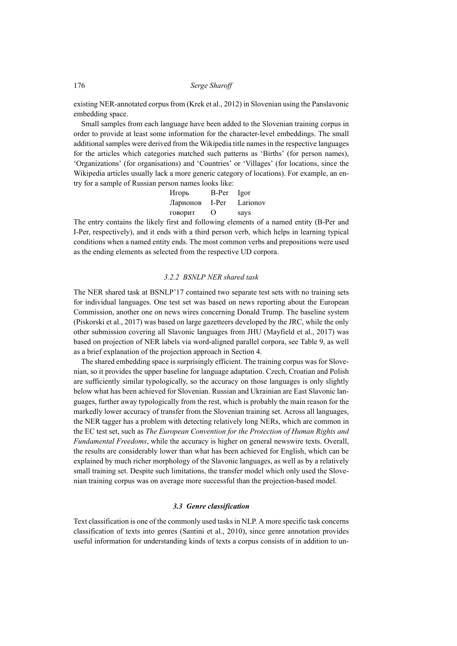existing NER-annotated corpus from (Krek et al., 2012) in Slovenian using the Panslavonic embedding space.

Small samples from each language have been added to the Slovenian training corpus in order to provide at least some information for the character-level embeddings. The small additional samples were derived from the Wikipedia title names in the respective languages for the articles which categories matched such patterns as 'Births' (for person names), 'Organizations' (for organisations) and 'Countries' or 'Villages' (for locations, since the Wikipedia articles usually lack a more generic category of locations). For example, an entry for a sample of Russian person names looks like:

| Игорь    | B-Per    | Igor     |
|----------|----------|----------|
| Ларионов | I-Per    | Larionov |
| говорит  | $\Omega$ | says     |

The entry contains the likely first and following elements of a named entity (B-Per and I-Per, respectively), and it ends with a third person verb, which helps in learning typical conditions when a named entity ends. The most common verbs and prepositions were used as the ending elements as selected from the respective UD corpora.

## *3.2.2 BSNLP NER shared task*

The NER shared task at BSNLP'17 contained two separate test sets with no training sets for individual languages. One test set was based on news reporting about the European Commission, another one on news wires concerning Donald Trump. The baseline system (Piskorski et al., 2017) was based on large gazetteers developed by the JRC, while the only other submission covering all Slavonic languages from JHU (Mayfield et al., 2017) was based on projection of NER labels via word-aligned parallel corpora, see Table 9, as well as a brief explanation of the projection approach in Section 4.

The shared embedding space is surprisingly efficient. The training corpus was for Slovenian, so it provides the upper baseline for language adaptation. Czech, Croatian and Polish are sufficiently similar typologically, so the accuracy on those languages is only slightly below what has been achieved for Slovenian. Russian and Ukrainian are East Slavonic languages, further away typologically from the rest, which is probably the main reason for the markedly lower accuracy of transfer from the Slovenian training set. Across all languages, the NER tagger has a problem with detecting relatively long NERs, which are common in the EC test set, such as *The European Convention for the Protection of Human Rights and Fundamental Freedoms*, while the accuracy is higher on general newswire texts. Overall, the results are considerably lower than what has been achieved for English, which can be explained by much richer morphology of the Slavonic languages, as well as by a relatively small training set. Despite such limitations, the transfer model which only used the Slovenian training corpus was on average more successful than the projection-based model.

# *3.3 Genre classification*

Text classification is one of the commonly used tasks in NLP. A more specific task concerns classification of texts into genres (Santini et al., 2010), since genre annotation provides useful information for understanding kinds of texts a corpus consists of in addition to un-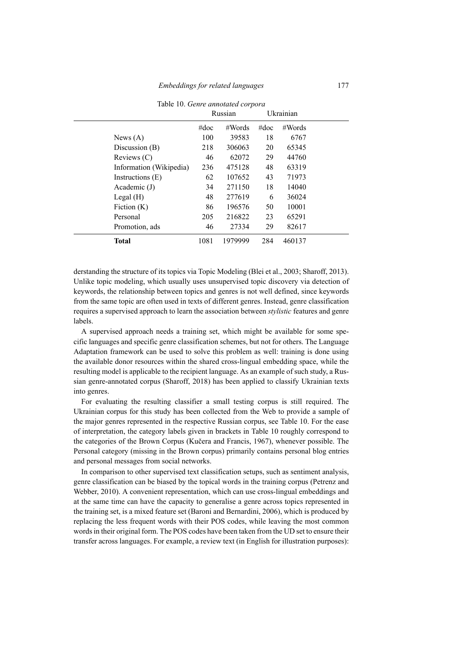| Table 10. Genre annotated corpora |         |           |         |           |  |
|-----------------------------------|---------|-----------|---------|-----------|--|
|                                   | Russian |           |         | Ukrainian |  |
|                                   | $\#doc$ | $\#Words$ | $\#doc$ | #Words    |  |
| News $(A)$                        | 100     | 39583     | 18      | 6767      |  |
| Discussion $(B)$                  | 218     | 306063    | 20      | 65345     |  |
| Reviews $(C)$                     | 46      | 62072     | 29      | 44760     |  |
| Information (Wikipedia)           | 236     | 475128    | 48      | 63319     |  |
| Instructions $(E)$                | 62      | 107652    | 43      | 71973     |  |
| Academic $(J)$                    | 34      | 271150    | 18      | 14040     |  |
| Legal $(H)$                       | 48      | 277619    | 6       | 36024     |  |
| Fiction $(K)$                     | 86      | 196576    | 50      | 10001     |  |
| Personal                          | 205     | 216822    | 23      | 65291     |  |
| Promotion, ads                    | 46      | 27334     | 29      | 82617     |  |
| <b>Total</b>                      | 1081    | 1979999   | 284     | 460137    |  |

derstanding the structure of its topics via Topic Modeling (Blei et al., 2003; Sharoff, 2013). Unlike topic modeling, which usually uses unsupervised topic discovery via detection of keywords, the relationship between topics and genres is not well defined, since keywords from the same topic are often used in texts of different genres. Instead, genre classification requires a supervised approach to learn the association between *stylistic* features and genre labels.

A supervised approach needs a training set, which might be available for some specific languages and specific genre classification schemes, but not for others. The Language Adaptation framework can be used to solve this problem as well: training is done using the available donor resources within the shared cross-lingual embedding space, while the resulting model is applicable to the recipient language. As an example of such study, a Russian genre-annotated corpus (Sharoff, 2018) has been applied to classify Ukrainian texts into genres.

For evaluating the resulting classifier a small testing corpus is still required. The Ukrainian corpus for this study has been collected from the Web to provide a sample of the major genres represented in the respective Russian corpus, see Table 10. For the ease of interpretation, the category labels given in brackets in Table 10 roughly correspond to the categories of the Brown Corpus (Kučera and Francis, 1967), whenever possible. The Personal category (missing in the Brown corpus) primarily contains personal blog entries and personal messages from social networks.

In comparison to other supervised text classification setups, such as sentiment analysis, genre classification can be biased by the topical words in the training corpus (Petrenz and Webber, 2010). A convenient representation, which can use cross-lingual embeddings and at the same time can have the capacity to generalise a genre across topics represented in the training set, is a mixed feature set (Baroni and Bernardini, 2006), which is produced by replacing the less frequent words with their POS codes, while leaving the most common words in their original form. The POS codes have been taken from the UD set to ensure their transfer across languages. For example, a review text (in English for illustration purposes):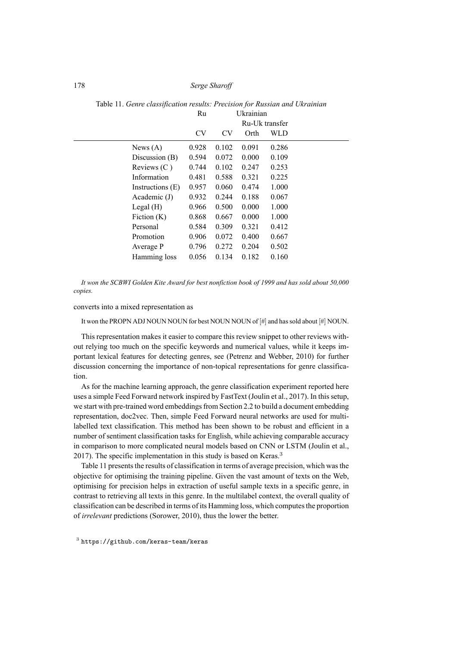|                    | Ru        |           | Ukrainian |                |  |
|--------------------|-----------|-----------|-----------|----------------|--|
|                    |           |           |           | Ru-Uk transfer |  |
|                    | <b>CV</b> | <b>CV</b> | Orth      | WLD            |  |
| News $(A)$         | 0.928     | 0.102     | 0.091     | 0.286          |  |
| Discussion $(B)$   | 0.594     | 0.072     | 0.000     | 0.109          |  |
| Reviews $(C)$      | 0.744     | 0.102     | 0.247     | 0.253          |  |
| Information        | 0.481     | 0.588     | 0.321     | 0.225          |  |
| Instructions $(E)$ | 0.957     | 0.060     | 0.474     | 1.000          |  |
| Academic $(J)$     | 0.932     | 0.244     | 0.188     | 0.067          |  |
| Legal $(H)$        | 0.966     | 0.500     | 0.000     | 1.000          |  |
| Fiction $(K)$      | 0.868     | 0.667     | 0.000     | 1.000          |  |
| Personal           | 0.584     | 0.309     | 0.321     | 0.412          |  |
| Promotion          | 0.906     | 0.072     | 0.400     | 0.667          |  |
| Average P          | 0.796     | 0.272     | 0.204     | 0.502          |  |
| Hamming loss       | 0.056     | 0.134     | 0.182     | 0.160          |  |
|                    |           |           |           |                |  |

Table 11. *Genre classification results: Precision for Russian and Ukrainian*

*It won the SCBWI Golden Kite Award for best nonfiction book of 1999 and has sold about 50,000 copies.*

converts into a mixed representation as

It won the PROPN ADJ NOUN NOUN for best NOUN NOUN of [#] and has sold about [#] NOUN.

This representation makes it easier to compare this review snippet to other reviews without relying too much on the specific keywords and numerical values, while it keeps important lexical features for detecting genres, see (Petrenz and Webber, 2010) for further discussion concerning the importance of non-topical representations for genre classification.

As for the machine learning approach, the genre classification experiment reported here uses a simple Feed Forward network inspired by FastText (Joulin et al., 2017). In this setup, we start with pre-trained word embeddings from Section 2.2 to build a document embedding representation, doc2vec. Then, simple Feed Forward neural networks are used for multilabelled text classification. This method has been shown to be robust and efficient in a number of sentiment classification tasks for English, while achieving comparable accuracy in comparison to more complicated neural models based on CNN or LSTM (Joulin et al., 2017). The specific implementation in this study is based on Keras.<sup>3</sup>

Table 11 presents the results of classification in terms of average precision, which was the objective for optimising the training pipeline. Given the vast amount of texts on the Web, optimising for precision helps in extraction of useful sample texts in a specific genre, in contrast to retrieving all texts in this genre. In the multilabel context, the overall quality of classification can be described in terms of its Hamming loss, which computes the proportion of *irrelevant* predictions (Sorower, 2010), thus the lower the better.

 $^3$  https://github.com/keras-team/keras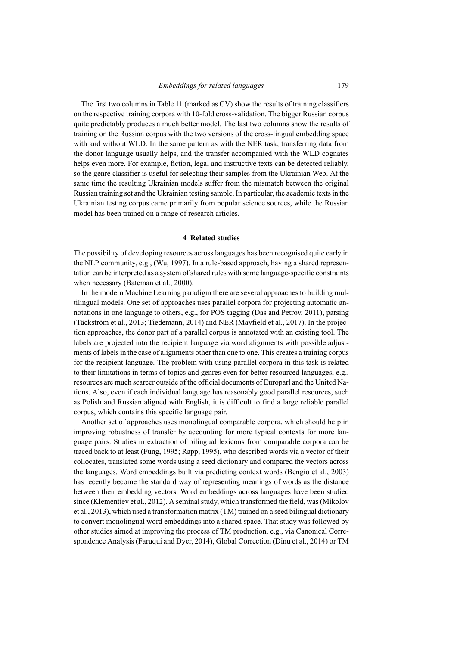The first two columns in Table 11 (marked as CV) show the results of training classifiers on the respective training corpora with 10-fold cross-validation. The bigger Russian corpus quite predictably produces a much better model. The last two columns show the results of training on the Russian corpus with the two versions of the cross-lingual embedding space with and without WLD. In the same pattern as with the NER task, transferring data from the donor language usually helps, and the transfer accompanied with the WLD cognates helps even more. For example, fiction, legal and instructive texts can be detected reliably, so the genre classifier is useful for selecting their samples from the Ukrainian Web. At the same time the resulting Ukrainian models suffer from the mismatch between the original Russian training set and the Ukrainian testing sample. In particular, the academic texts in the Ukrainian testing corpus came primarily from popular science sources, while the Russian model has been trained on a range of research articles.

#### **4 Related studies**

The possibility of developing resources across languages has been recognised quite early in the NLP community, e.g., (Wu, 1997). In a rule-based approach, having a shared representation can be interpreted as a system of shared rules with some language-specific constraints when necessary (Bateman et al., 2000).

In the modern Machine Learning paradigm there are several approaches to building multilingual models. One set of approaches uses parallel corpora for projecting automatic annotations in one language to others, e.g., for POS tagging (Das and Petrov, 2011), parsing (Täckström et al., 2013; Tiedemann, 2014) and NER (Mayfield et al., 2017). In the projection approaches, the donor part of a parallel corpus is annotated with an existing tool. The labels are projected into the recipient language via word alignments with possible adjustments of labels in the case of alignments other than one to one. This creates a training corpus for the recipient language. The problem with using parallel corpora in this task is related to their limitations in terms of topics and genres even for better resourced languages, e.g., resources are much scarcer outside of the official documents of Europarl and the United Nations. Also, even if each individual language has reasonably good parallel resources, such as Polish and Russian aligned with English, it is difficult to find a large reliable parallel corpus, which contains this specific language pair.

Another set of approaches uses monolingual comparable corpora, which should help in improving robustness of transfer by accounting for more typical contexts for more language pairs. Studies in extraction of bilingual lexicons from comparable corpora can be traced back to at least (Fung, 1995; Rapp, 1995), who described words via a vector of their collocates, translated some words using a seed dictionary and compared the vectors across the languages. Word embeddings built via predicting context words (Bengio et al., 2003) has recently become the standard way of representing meanings of words as the distance between their embedding vectors. Word embeddings across languages have been studied since (Klementiev et al., 2012). A seminal study, which transformed the field, was (Mikolov et al., 2013), which used a transformation matrix (TM) trained on a seed bilingual dictionary to convert monolingual word embeddings into a shared space. That study was followed by other studies aimed at improving the process of TM production, e.g., via Canonical Correspondence Analysis (Faruqui and Dyer, 2014), Global Correction (Dinu et al., 2014) or TM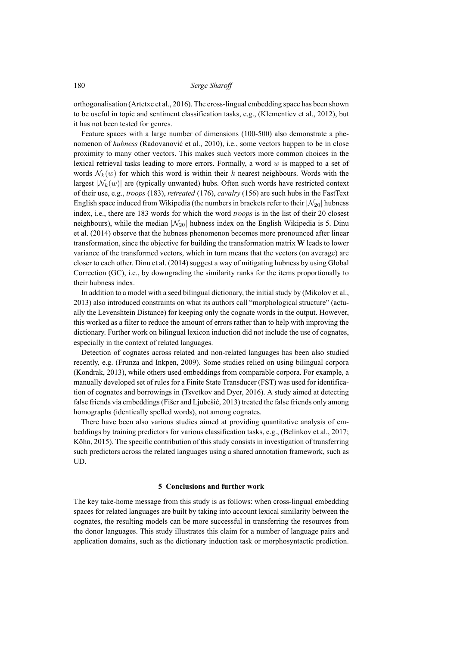orthogonalisation (Artetxe et al., 2016). The cross-lingual embedding space has been shown to be useful in topic and sentiment classification tasks, e.g., (Klementiev et al., 2012), but it has not been tested for genres.

Feature spaces with a large number of dimensions (100-500) also demonstrate a phenomenon of *hubness* (Radovanović et al., 2010), i.e., some vectors happen to be in close proximity to many other vectors. This makes such vectors more common choices in the lexical retrieval tasks leading to more errors. Formally, a word *w* is mapped to a set of words  $\mathcal{N}_k(w)$  for which this word is within their *k* nearest neighbours. Words with the largest  $|\mathcal{N}_k(w)|$  are (typically unwanted) hubs. Often such words have restricted context of their use, e.g., *troops* (183), *retreated* (176), *cavalry* (156) are such hubs in the FastText English space induced from Wikipedia (the numbers in brackets refer to their  $|\mathcal{N}_{20}|$  hubness index, i.e., there are 183 words for which the word *troops* is in the list of their 20 closest neighbours), while the median  $|N_{20}|$  hubness index on the English Wikipedia is 5. Dinu et al. (2014) observe that the hubness phenomenon becomes more pronounced after linear transformation, since the objective for building the transformation matrix **W** leads to lower variance of the transformed vectors, which in turn means that the vectors (on average) are closer to each other. Dinu et al. (2014) suggest a way of mitigating hubness by using Global Correction (GC), i.e., by downgrading the similarity ranks for the items proportionally to their hubness index.

In addition to a model with a seed bilingual dictionary, the initial study by (Mikolov et al., 2013) also introduced constraints on what its authors call "morphological structure" (actually the Levenshtein Distance) for keeping only the cognate words in the output. However, this worked as a filter to reduce the amount of errors rather than to help with improving the dictionary. Further work on bilingual lexicon induction did not include the use of cognates, especially in the context of related languages.

Detection of cognates across related and non-related languages has been also studied recently, e.g. (Frunza and Inkpen, 2009). Some studies relied on using bilingual corpora (Kondrak, 2013), while others used embeddings from comparable corpora. For example, a manually developed set of rules for a Finite State Transducer (FST) was used for identification of cognates and borrowings in (Tsvetkov and Dyer, 2016). A study aimed at detecting false friends via embeddings (Fišer and Ljubešić, 2013) treated the false friends only among homographs (identically spelled words), not among cognates.

There have been also various studies aimed at providing quantitative analysis of embeddings by training predictors for various classification tasks, e.g., (Belinkov et al., 2017; Köhn, 2015). The specific contribution of this study consists in investigation of transferring such predictors across the related languages using a shared annotation framework, such as UD.

### **5 Conclusions and further work**

The key take-home message from this study is as follows: when cross-lingual embedding spaces for related languages are built by taking into account lexical similarity between the cognates, the resulting models can be more successful in transferring the resources from the donor languages. This study illustrates this claim for a number of language pairs and application domains, such as the dictionary induction task or morphosyntactic prediction.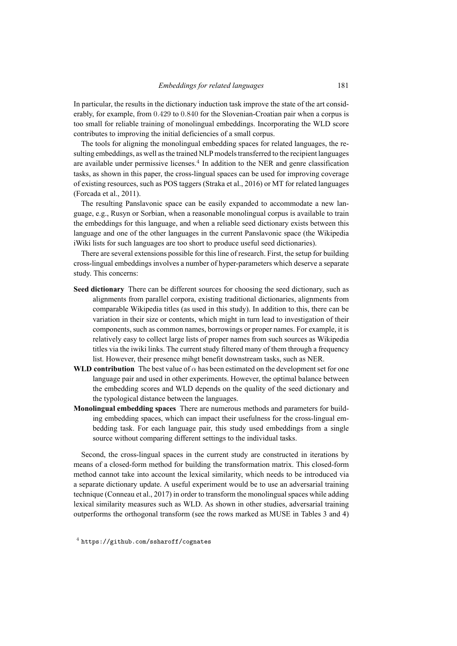In particular, the results in the dictionary induction task improve the state of the art considerably, for example, from 0*.*429 to 0*.*840 for the Slovenian-Croatian pair when a corpus is too small for reliable training of monolingual embeddings. Incorporating the WLD score contributes to improving the initial deficiencies of a small corpus.

The tools for aligning the monolingual embedding spaces for related languages, the resulting embeddings, as well as the trained NLP models transferred to the recipient languages are available under permissive licenses.<sup>4</sup> In addition to the NER and genre classification tasks, as shown in this paper, the cross-lingual spaces can be used for improving coverage of existing resources, such as POS taggers (Straka et al., 2016) or MT for related languages (Forcada et al., 2011).

The resulting Panslavonic space can be easily expanded to accommodate a new language, e.g., Rusyn or Sorbian, when a reasonable monolingual corpus is available to train the embeddings for this language, and when a reliable seed dictionary exists between this language and one of the other languages in the current Panslavonic space (the Wikipedia iWiki lists for such languages are too short to produce useful seed dictionaries).

There are several extensions possible for this line of research. First, the setup for building cross-lingual embeddings involves a number of hyper-parameters which deserve a separate study. This concerns:

- **Seed dictionary** There can be different sources for choosing the seed dictionary, such as alignments from parallel corpora, existing traditional dictionaries, alignments from comparable Wikipedia titles (as used in this study). In addition to this, there can be variation in their size or contents, which might in turn lead to investigation of their components, such as common names, borrowings or proper names. For example, it is relatively easy to collect large lists of proper names from such sources as Wikipedia titles via the iwiki links. The current study filtered many of them through a frequency list. However, their presence mihgt benefit downstream tasks, such as NER.
- **WLD contribution** The best value of  $\alpha$  has been estimated on the development set for one language pair and used in other experiments. However, the optimal balance between the embedding scores and WLD depends on the quality of the seed dictionary and the typological distance between the languages.
- **Monolingual embedding spaces** There are numerous methods and parameters for building embedding spaces, which can impact their usefulness for the cross-lingual embedding task. For each language pair, this study used embeddings from a single source without comparing different settings to the individual tasks.

Second, the cross-lingual spaces in the current study are constructed in iterations by means of a closed-form method for building the transformation matrix. This closed-form method cannot take into account the lexical similarity, which needs to be introduced via a separate dictionary update. A useful experiment would be to use an adversarial training technique (Conneau et al., 2017) in order to transform the monolingual spaces while adding lexical similarity measures such as WLD. As shown in other studies, adversarial training outperforms the orthogonal transform (see the rows marked as MUSE in Tables 3 and 4)

 $^4$  https://github.com/ssharoff/cognates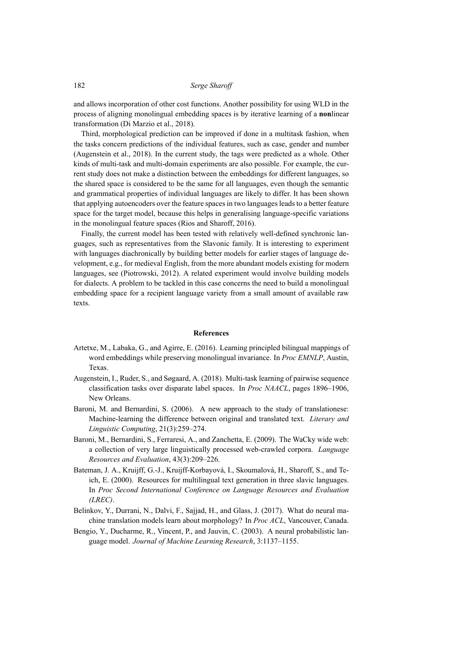and allows incorporation of other cost functions. Another possibility for using WLD in the process of aligning monolingual embedding spaces is by iterative learning of a **non**linear transformation (Di Marzio et al., 2018).

Third, morphological prediction can be improved if done in a multitask fashion, when the tasks concern predictions of the individual features, such as case, gender and number (Augenstein et al., 2018). In the current study, the tags were predicted as a whole. Other kinds of multi-task and multi-domain experiments are also possible. For example, the current study does not make a distinction between the embeddings for different languages, so the shared space is considered to be the same for all languages, even though the semantic and grammatical properties of individual languages are likely to differ. It has been shown that applying autoencoders over the feature spaces in two languages leads to a better feature space for the target model, because this helps in generalising language-specific variations in the monolingual feature spaces (Rios and Sharoff, 2016).

Finally, the current model has been tested with relatively well-defined synchronic languages, such as representatives from the Slavonic family. It is interesting to experiment with languages diachronically by building better models for earlier stages of language development, e.g., for medieval English, from the more abundant models existing for modern languages, see (Piotrowski, 2012). A related experiment would involve building models for dialects. A problem to be tackled in this case concerns the need to build a monolingual embedding space for a recipient language variety from a small amount of available raw texts.

### **References**

- Artetxe, M., Labaka, G., and Agirre, E. (2016). Learning principled bilingual mappings of word embeddings while preserving monolingual invariance. In *Proc EMNLP*, Austin, Texas.
- Augenstein, I., Ruder, S., and Søgaard, A. (2018). Multi-task learning of pairwise sequence classification tasks over disparate label spaces. In *Proc NAACL*, pages 1896–1906, New Orleans.
- Baroni, M. and Bernardini, S. (2006). A new approach to the study of translationese: Machine-learning the difference between original and translated text. *Literary and Linguistic Computing*, 21(3):259–274.
- Baroni, M., Bernardini, S., Ferraresi, A., and Zanchetta, E. (2009). The WaCky wide web: a collection of very large linguistically processed web-crawled corpora. *Language Resources and Evaluation*, 43(3):209–226.
- Bateman, J. A., Kruijff, G.-J., Kruijff-Korbayová, I., Skoumalová, H., Sharoff, S., and Teich, E. (2000). Resources for multilingual text generation in three slavic languages. In *Proc Second International Conference on Language Resources and Evaluation (LREC)*.
- Belinkov, Y., Durrani, N., Dalvi, F., Sajjad, H., and Glass, J. (2017). What do neural machine translation models learn about morphology? In *Proc ACL*, Vancouver, Canada.
- Bengio, Y., Ducharme, R., Vincent, P., and Jauvin, C. (2003). A neural probabilistic language model. *Journal of Machine Learning Research*, 3:1137–1155.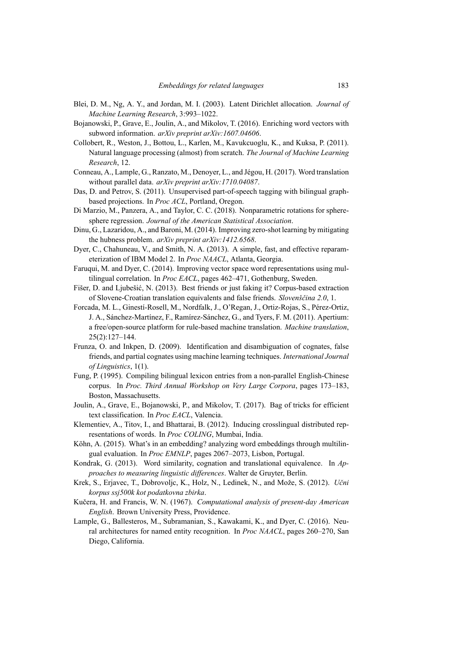- Blei, D. M., Ng, A. Y., and Jordan, M. I. (2003). Latent Dirichlet allocation. *Journal of Machine Learning Research*, 3:993–1022.
- Bojanowski, P., Grave, E., Joulin, A., and Mikolov, T. (2016). Enriching word vectors with subword information. *arXiv preprint arXiv:1607.04606*.
- Collobert, R., Weston, J., Bottou, L., Karlen, M., Kavukcuoglu, K., and Kuksa, P. (2011). Natural language processing (almost) from scratch. *The Journal of Machine Learning Research*, 12.
- Conneau, A., Lample, G., Ranzato, M., Denoyer, L., and Jégou, H. (2017). Word translation without parallel data. *arXiv preprint arXiv:1710.04087*.
- Das, D. and Petrov, S. (2011). Unsupervised part-of-speech tagging with bilingual graphbased projections. In *Proc ACL*, Portland, Oregon.
- Di Marzio, M., Panzera, A., and Taylor, C. C. (2018). Nonparametric rotations for spheresphere regression. *Journal of the American Statistical Association*.
- Dinu, G., Lazaridou, A., and Baroni, M. (2014). Improving zero-shot learning by mitigating the hubness problem. *arXiv preprint arXiv:1412.6568*.
- Dyer, C., Chahuneau, V., and Smith, N. A. (2013). A simple, fast, and effective reparameterization of IBM Model 2. In *Proc NAACL*, Atlanta, Georgia.
- Faruqui, M. and Dyer, C. (2014). Improving vector space word representations using multilingual correlation. In *Proc EACL*, pages 462–471, Gothenburg, Sweden.
- Fišer, D. and Ljubešić, N. (2013). Best friends or just faking it? Corpus-based extraction of Slovene-Croatian translation equivalents and false friends. *Slovenščina 2.0*, 1.
- Forcada, M. L., Ginestí-Rosell, M., Nordfalk, J., O'Regan, J., Ortiz-Rojas, S., Pérez-Ortiz, J. A., Sánchez-Martínez, F., Ramírez-Sánchez, G., and Tyers, F. M. (2011). Apertium: a free/open-source platform for rule-based machine translation. *Machine translation*, 25(2):127–144.
- Frunza, O. and Inkpen, D. (2009). Identification and disambiguation of cognates, false friends, and partial cognates using machine learning techniques. *International Journal of Linguistics*, 1(1).
- Fung, P. (1995). Compiling bilingual lexicon entries from a non-parallel English-Chinese corpus. In *Proc. Third Annual Workshop on Very Large Corpora*, pages 173–183, Boston, Massachusetts.
- Joulin, A., Grave, E., Bojanowski, P., and Mikolov, T. (2017). Bag of tricks for efficient text classification. In *Proc EACL*, Valencia.
- Klementiev, A., Titov, I., and Bhattarai, B. (2012). Inducing crosslingual distributed representations of words. In *Proc COLING*, Mumbai, India.
- Köhn, A. (2015). What's in an embedding? analyzing word embeddings through multilingual evaluation. In *Proc EMNLP*, pages 2067–2073, Lisbon, Portugal.
- Kondrak, G. (2013). Word similarity, cognation and translational equivalence. In *Approaches to measuring linguistic differences*. Walter de Gruyter, Berlin.
- Krek, S., Erjavec, T., Dobrovoljc, K., Holz, N., Ledinek, N., and Može, S. (2012). *Učni korpus ssj500k kot podatkovna zbirka*.
- Kučera, H. and Francis, W. N. (1967). *Computational analysis of present-day American English*. Brown University Press, Providence.
- Lample, G., Ballesteros, M., Subramanian, S., Kawakami, K., and Dyer, C. (2016). Neural architectures for named entity recognition. In *Proc NAACL*, pages 260–270, San Diego, California.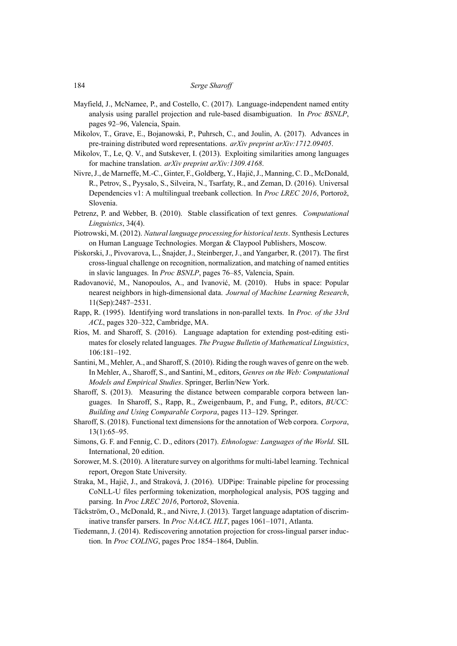- Mayfield, J., McNamee, P., and Costello, C. (2017). Language-independent named entity analysis using parallel projection and rule-based disambiguation. In *Proc BSNLP*, pages 92–96, Valencia, Spain.
- Mikolov, T., Grave, E., Bojanowski, P., Puhrsch, C., and Joulin, A. (2017). Advances in pre-training distributed word representations. *arXiv preprint arXiv:1712.09405*.
- Mikolov, T., Le, Q. V., and Sutskever, I. (2013). Exploiting similarities among languages for machine translation. *arXiv preprint arXiv:1309.4168*.
- Nivre, J., de Marneffe, M.-C., Ginter, F., Goldberg, Y., Hajič, J., Manning, C. D., McDonald, R., Petrov, S., Pyysalo, S., Silveira, N., Tsarfaty, R., and Zeman, D. (2016). Universal Dependencies v1: A multilingual treebank collection. In *Proc LREC 2016*, Portorož, Slovenia.
- Petrenz, P. and Webber, B. (2010). Stable classification of text genres. *Computational Linguistics*, 34(4).
- Piotrowski, M. (2012). *Natural language processing for historical texts*. Synthesis Lectures on Human Language Technologies. Morgan & Claypool Publishers, Moscow.
- Piskorski, J., Pivovarova, L., Šnajder, J., Steinberger, J., and Yangarber, R. (2017). The first cross-lingual challenge on recognition, normalization, and matching of named entities in slavic languages. In *Proc BSNLP*, pages 76–85, Valencia, Spain.
- Radovanović, M., Nanopoulos, A., and Ivanović, M. (2010). Hubs in space: Popular nearest neighbors in high-dimensional data. *Journal of Machine Learning Research*, 11(Sep):2487–2531.
- Rapp, R. (1995). Identifying word translations in non-parallel texts. In *Proc. of the 33rd ACL*, pages 320–322, Cambridge, MA.
- Rios, M. and Sharoff, S. (2016). Language adaptation for extending post-editing estimates for closely related languages. *The Prague Bulletin of Mathematical Linguistics*, 106:181–192.
- Santini, M., Mehler, A., and Sharoff, S. (2010). Riding the rough waves of genre on the web. In Mehler, A., Sharoff, S., and Santini, M., editors, *Genres on the Web: Computational Models and Empirical Studies*. Springer, Berlin/New York.
- Sharoff, S. (2013). Measuring the distance between comparable corpora between languages. In Sharoff, S., Rapp, R., Zweigenbaum, P., and Fung, P., editors, *BUCC: Building and Using Comparable Corpora*, pages 113–129. Springer.
- Sharoff, S. (2018). Functional text dimensions for the annotation of Web corpora. *Corpora*, 13(1):65–95.
- Simons, G. F. and Fennig, C. D., editors (2017). *Ethnologue: Languages of the World*. SIL International, 20 edition.
- Sorower, M. S. (2010). A literature survey on algorithms for multi-label learning. Technical report, Oregon State University.
- Straka, M., Hajič, J., and Straková, J. (2016). UDPipe: Trainable pipeline for processing CoNLL-U files performing tokenization, morphological analysis, POS tagging and parsing. In *Proc LREC 2016*, Portorož, Slovenia.
- Täckström, O., McDonald, R., and Nivre, J. (2013). Target language adaptation of discriminative transfer parsers. In *Proc NAACL HLT*, pages 1061–1071, Atlanta.
- Tiedemann, J. (2014). Rediscovering annotation projection for cross-lingual parser induction. In *Proc COLING*, pages Proc 1854–1864, Dublin.